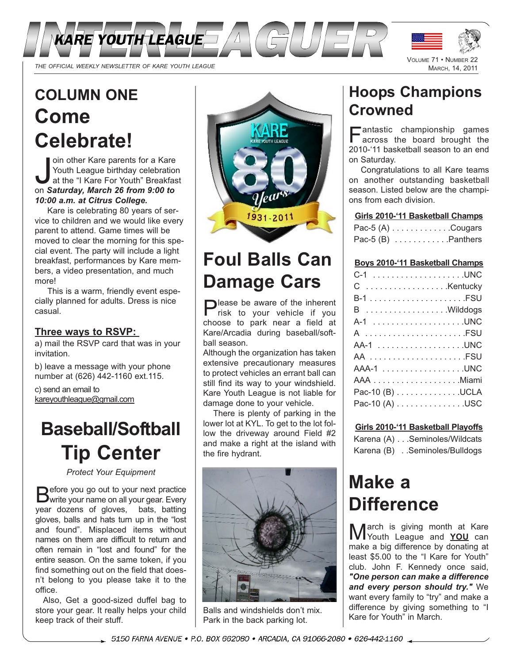

# **COLUMN ONE Come Celebrate!**

oin other Kare parents for a Kare<br>Youth League birthday celebratic<br>at the "I Kare For Youth" Breakfa<br>on **Saturday, March 26 from 9:00 to** oin other Kare parents for a Kare Youth League birthday celebration at the "I Kare For Youth" Breakfast *10:00 a.m. at Citrus College.*

Kare is celebrating 80 years of service to children and we would like every parent to attend. Game times will be moved to clear the morning for this special event. The party will include a light breakfast, performances by Kare members, a video presentation, and much more!

This is a warm, friendly event especially planned for adults. Dress is nice casual.

## **Three ways to RSVP:**

a) mail the RSVP card that was in your invitation.

b) leave a message with your phone number at (626) 442-1160 ext.115.

c) send an email to kareyouthleague@gmail.com

# **Baseball/Softball Tip Center**

*Protect Your Equipment*

Before you go out to your next practice<br>
Swrite your name on all your gear. Every year dozens of gloves, bats, batting gloves, balls and hats turn up in the "lost and found". Misplaced items without names on them are difficult to return and often remain in "lost and found" for the entire season. On the same token, if you find something out on the field that doesn't belong to you please take it to the office.

Also, Get a good-sized duffel bag to store your gear. It really helps your child keep track of their stuff.



# **Foul Balls Can Damage Cars**

Please be aware of the inherent risk to your vehicle if you choose to park near a field at Kare/Arcadia during baseball/softball season.

Although the organization has taken extensive precautionary measures to protect vehicles an errant ball can still find its way to your windshield. Kare Youth League is not liable for damage done to your vehicle.

There is plenty of parking in the lower lot at KYL. To get to the lot follow the driveway around Field #2 and make a right at the island with the fire hydrant.



Balls and windshields don't mix. Park in the back parking lot.

# **Hoops Champions Crowned**

Fantastic championship games across the board brought the 2010-'11 basketball season to an end on Saturday.

Congratulations to all Kare teams on another outstanding basketball season. Listed below are the champions from each division.

## **Girls 2010-'11 Basketball Champs**

| Pac-5 $(A)$ Cougars  |  |
|----------------------|--|
| Pac-5 $(B)$ Panthers |  |

## **Boys 2010-'11 Basketball Champs**

| C  Kentucky     |
|-----------------|
|                 |
| B Wilddogs      |
|                 |
| A FSU           |
|                 |
|                 |
| AAA-1 UNC       |
|                 |
| Pac-10 (B) UCLA |
| Pac-10 (A) USC  |
|                 |

## **Girls 2010-'11 Basketball Playoffs**

Karena (A) . . .Seminoles/Wildcats Karena (B) . .Seminoles/Bulldogs

# **Make a Difference**

March is giving month at Kare make a big difference by donating at least \$5.00 to the "I Kare for Youth" club. John F. Kennedy once said, *"One person can make a difference and every person should try."* We want every family to "try" and make a difference by giving something to "I Kare for Youth" in March.